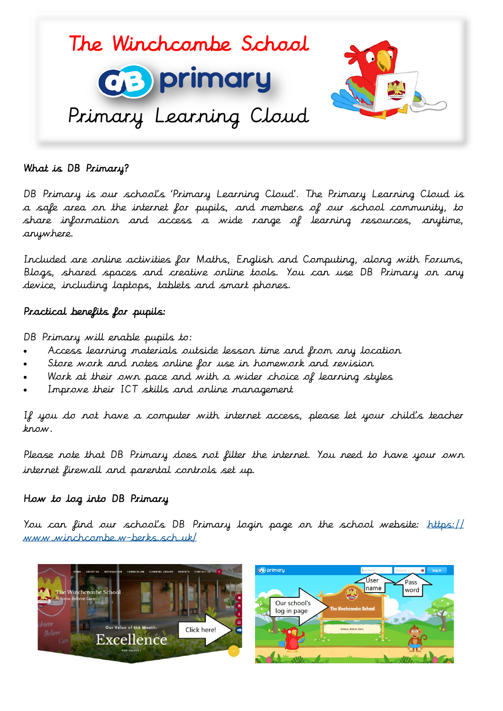

## What is DB Primary?

DB Primary is our school's 'Primary Learning Cloud'. The Primary Learning Cloud is a safe area on the internet for pupils, and members of our school community, to share information and access a wide range of learning resources, anytime, anywhere.

Included are online activities for Maths, English and Computing, along with Forums, Blogs, shared spaces and creative online tools. You can use DB Primary on any device, including laptops, tablets and smart phones.

### Practical benefits for pupils:

DB Primary will enable pupils to:

- Access learning materials outside lesson time and from any location
- Store work and notes online for use in homework and revision
- Work at their own pace and with a wider choice of learning styles
- Improve their ICT skills and online management

If you do not have a computer with internet access, please let your child's teacher know.

Please note that DB Primary does not filter the internet. You need to have your own internet firewall and parental controls set up.

#### How to log into DB Primary

You can find our school's DB Primary login page on the school website: [https://](https://www.winchcombe.w-berks.sch.uk/) [www.winchcombe.w-berks.sch.uk/](https://www.winchcombe.w-berks.sch.uk/)